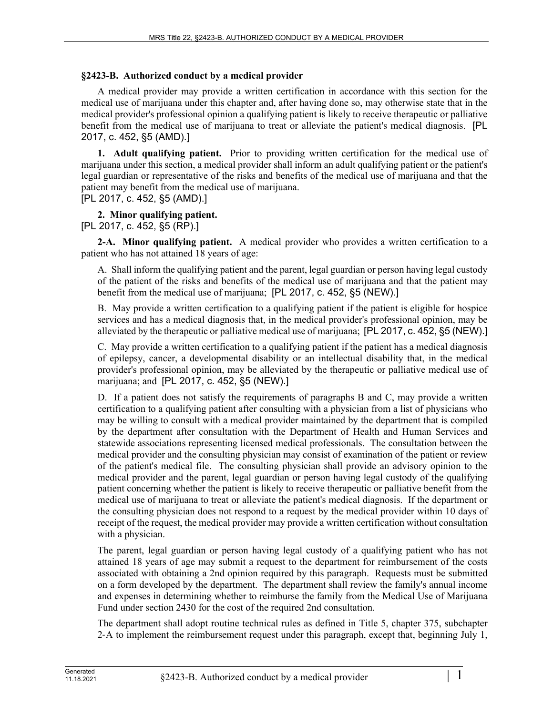# **§2423-B. Authorized conduct by a medical provider**

A medical provider may provide a written certification in accordance with this section for the medical use of marijuana under this chapter and, after having done so, may otherwise state that in the medical provider's professional opinion a qualifying patient is likely to receive therapeutic or palliative benefit from the medical use of marijuana to treat or alleviate the patient's medical diagnosis. [PL 2017, c. 452, §5 (AMD).]

**1. Adult qualifying patient.** Prior to providing written certification for the medical use of marijuana under this section, a medical provider shall inform an adult qualifying patient or the patient's legal guardian or representative of the risks and benefits of the medical use of marijuana and that the patient may benefit from the medical use of marijuana.

[PL 2017, c. 452, §5 (AMD).]

# **2. Minor qualifying patient.**

[PL 2017, c. 452, §5 (RP).]

**2-A. Minor qualifying patient.** A medical provider who provides a written certification to a patient who has not attained 18 years of age:

A. Shall inform the qualifying patient and the parent, legal guardian or person having legal custody of the patient of the risks and benefits of the medical use of marijuana and that the patient may benefit from the medical use of marijuana; [PL 2017, c. 452, §5 (NEW).]

B. May provide a written certification to a qualifying patient if the patient is eligible for hospice services and has a medical diagnosis that, in the medical provider's professional opinion, may be alleviated by the therapeutic or palliative medical use of marijuana; [PL 2017, c. 452, §5 (NEW).]

C. May provide a written certification to a qualifying patient if the patient has a medical diagnosis of epilepsy, cancer, a developmental disability or an intellectual disability that, in the medical provider's professional opinion, may be alleviated by the therapeutic or palliative medical use of marijuana; and [PL 2017, c. 452, §5 (NEW).]

D. If a patient does not satisfy the requirements of paragraphs B and C, may provide a written certification to a qualifying patient after consulting with a physician from a list of physicians who may be willing to consult with a medical provider maintained by the department that is compiled by the department after consultation with the Department of Health and Human Services and statewide associations representing licensed medical professionals. The consultation between the medical provider and the consulting physician may consist of examination of the patient or review of the patient's medical file. The consulting physician shall provide an advisory opinion to the medical provider and the parent, legal guardian or person having legal custody of the qualifying patient concerning whether the patient is likely to receive therapeutic or palliative benefit from the medical use of marijuana to treat or alleviate the patient's medical diagnosis. If the department or the consulting physician does not respond to a request by the medical provider within 10 days of receipt of the request, the medical provider may provide a written certification without consultation with a physician.

The parent, legal guardian or person having legal custody of a qualifying patient who has not attained 18 years of age may submit a request to the department for reimbursement of the costs associated with obtaining a 2nd opinion required by this paragraph. Requests must be submitted on a form developed by the department. The department shall review the family's annual income and expenses in determining whether to reimburse the family from the Medical Use of Marijuana Fund under section 2430 for the cost of the required 2nd consultation.

The department shall adopt routine technical rules as defined in Title 5, chapter 375, subchapter 2‑A to implement the reimbursement request under this paragraph, except that, beginning July 1,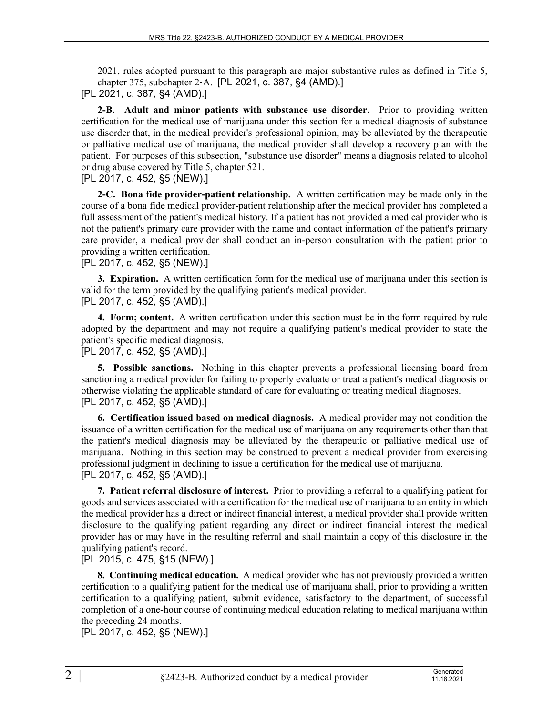2021, rules adopted pursuant to this paragraph are major substantive rules as defined in Title 5, chapter 375, subchapter 2‑A. [PL 2021, c. 387, §4 (AMD).] [PL 2021, c. 387, §4 (AMD).]

**2-B. Adult and minor patients with substance use disorder.** Prior to providing written certification for the medical use of marijuana under this section for a medical diagnosis of substance use disorder that, in the medical provider's professional opinion, may be alleviated by the therapeutic or palliative medical use of marijuana, the medical provider shall develop a recovery plan with the patient. For purposes of this subsection, "substance use disorder" means a diagnosis related to alcohol or drug abuse covered by Title 5, chapter 521.

### [PL 2017, c. 452, §5 (NEW).]

**2-C. Bona fide provider-patient relationship.** A written certification may be made only in the course of a bona fide medical provider-patient relationship after the medical provider has completed a full assessment of the patient's medical history. If a patient has not provided a medical provider who is not the patient's primary care provider with the name and contact information of the patient's primary care provider, a medical provider shall conduct an in-person consultation with the patient prior to providing a written certification.

#### [PL 2017, c. 452, §5 (NEW).]

**3. Expiration.** A written certification form for the medical use of marijuana under this section is valid for the term provided by the qualifying patient's medical provider. [PL 2017, c. 452, §5 (AMD).]

**4. Form; content.** A written certification under this section must be in the form required by rule adopted by the department and may not require a qualifying patient's medical provider to state the patient's specific medical diagnosis.

## [PL 2017, c. 452, §5 (AMD).]

**5. Possible sanctions.** Nothing in this chapter prevents a professional licensing board from sanctioning a medical provider for failing to properly evaluate or treat a patient's medical diagnosis or otherwise violating the applicable standard of care for evaluating or treating medical diagnoses. [PL 2017, c. 452, §5 (AMD).]

**6. Certification issued based on medical diagnosis.** A medical provider may not condition the issuance of a written certification for the medical use of marijuana on any requirements other than that the patient's medical diagnosis may be alleviated by the therapeutic or palliative medical use of marijuana. Nothing in this section may be construed to prevent a medical provider from exercising professional judgment in declining to issue a certification for the medical use of marijuana. [PL 2017, c. 452, §5 (AMD).]

**7. Patient referral disclosure of interest.** Prior to providing a referral to a qualifying patient for goods and services associated with a certification for the medical use of marijuana to an entity in which the medical provider has a direct or indirect financial interest, a medical provider shall provide written disclosure to the qualifying patient regarding any direct or indirect financial interest the medical provider has or may have in the resulting referral and shall maintain a copy of this disclosure in the qualifying patient's record.

## [PL 2015, c. 475, §15 (NEW).]

**8. Continuing medical education.** A medical provider who has not previously provided a written certification to a qualifying patient for the medical use of marijuana shall, prior to providing a written certification to a qualifying patient, submit evidence, satisfactory to the department, of successful completion of a one-hour course of continuing medical education relating to medical marijuana within the preceding 24 months.

[PL 2017, c. 452, §5 (NEW).]